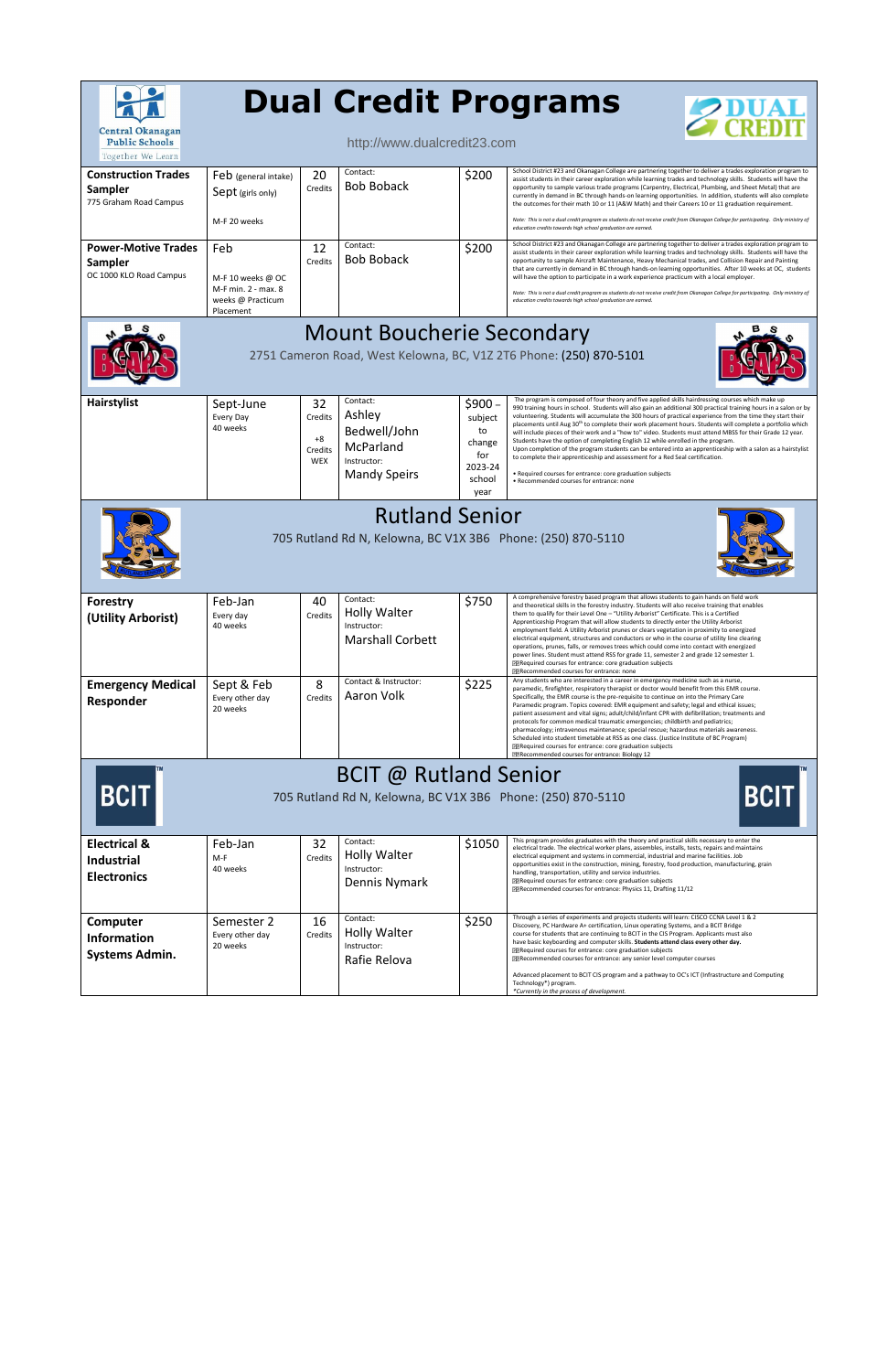| <b>Central Okanagan</b><br><b>Public Schools</b><br>Together We Learn                                                     |                                                                                   |                                                | <b>Dual Credit Programs</b><br>http://www.dualcredit23.com                            |                                                                        | $Z_{\rm \,CDENT}^{\rm \,UAM}$                                                                                                                                                                                                                                                                                                                                                                                                                                                                                                                                                                                                                                                                                                                                                                                                                                                                                                                                              |  |  |  |  |
|---------------------------------------------------------------------------------------------------------------------------|-----------------------------------------------------------------------------------|------------------------------------------------|---------------------------------------------------------------------------------------|------------------------------------------------------------------------|----------------------------------------------------------------------------------------------------------------------------------------------------------------------------------------------------------------------------------------------------------------------------------------------------------------------------------------------------------------------------------------------------------------------------------------------------------------------------------------------------------------------------------------------------------------------------------------------------------------------------------------------------------------------------------------------------------------------------------------------------------------------------------------------------------------------------------------------------------------------------------------------------------------------------------------------------------------------------|--|--|--|--|
| <b>Construction Trades</b><br><b>Sampler</b><br>775 Graham Road Campus                                                    | Feb (general intake)<br>Sept (girls only)<br>M-F 20 weeks                         | 20<br>Credits                                  | Contact:<br><b>Bob Boback</b>                                                         | \$200                                                                  | School District #23 and Okanagan College are partnering together to deliver a trades exploration program to<br>assist students in their career exploration while learning trades and technology skills. Students will have the<br>opportunity to sample various trade programs (Carpentry, Electrical, Plumbing, and Sheet Metal) that are<br>currently in demand in BC through hands-on learning opportunities. In addition, students will also complete<br>the outcomes for their math 10 or 11 (A&W Math) and their Careers 10 or 11 graduation requirement.<br>Note: This is not a dual credit program as students do not receive credit from Okanagan College for participating. Only ministry of<br>education credits towards high school graduation are earned.                                                                                                                                                                                                     |  |  |  |  |
| <b>Power-Motive Trades</b><br>Sampler<br>OC 1000 KLO Road Campus                                                          | Feb<br>M-F 10 weeks @ OC<br>M-F min. 2 - max. 8<br>weeks @ Practicum<br>Placement | 12<br>Credits                                  | Contact:<br><b>Bob Boback</b>                                                         | \$200                                                                  | School District #23 and Okanagan College are partnering together to deliver a trades exploration program to<br>assist students in their career exploration while learning trades and technology skills. Students will have the<br>opportunity to sample Aircraft Maintenance, Heavy Mechanical trades, and Collision Repair and Painting<br>that are currently in demand in BC through hands-on learning opportunities. After 10 weeks at OC, students<br>will have the option to participate in a work experience practicum with a local employer.<br>Note: This is not a dual credit program as students do not receive credit from Okanagan College for participating. Only ministry of<br>education credits towards high school graduation are earned.                                                                                                                                                                                                                 |  |  |  |  |
| <b>Mount Boucherie Secondary</b><br>2751 Cameron Road, West Kelowna, BC, V1Z 2T6 Phone: (250) 870-5101                    |                                                                                   |                                                |                                                                                       |                                                                        |                                                                                                                                                                                                                                                                                                                                                                                                                                                                                                                                                                                                                                                                                                                                                                                                                                                                                                                                                                            |  |  |  |  |
| Hairstylist                                                                                                               | Sept-June<br>Every Day<br>40 weeks                                                | 32<br>Credits<br>$+8$<br>Credits<br><b>WEX</b> | Contact:<br>Ashley<br>Bedwell/John<br>McParland<br>Instructor:<br><b>Mandy Speirs</b> | $$900-$<br>subject<br>to<br>change<br>for<br>2023-24<br>school<br>year | The program is composed of four theory and five applied skills hairdressing courses which make up<br>990 training hours in school. Students will also gain an additional 300 practical training hours in a salon or by<br>volunteering. Students will accumulate the 300 hours of practical experience from the time they start their<br>placements until Aug 30 <sup>th</sup> to complete their work placement hours. Students will complete a portfolio which<br>will include pieces of their work and a "how to" video. Students must attend MBSS for their Grade 12 year.<br>Students have the option of completing English 12 while enrolled in the program.<br>Upon completion of the program students can be entered into an apprenticeship with a salon as a hairstylist<br>to complete their apprenticeship and assessment for a Red Seal certification.<br>• Required courses for entrance: core graduation subjects<br>• Recommended courses for entrance: none |  |  |  |  |
| <b>Rutland Senior</b><br>705 Rutland Rd N, Kelowna, BC V1X 3B6 Phone: (250) 870-5110                                      |                                                                                   |                                                |                                                                                       |                                                                        |                                                                                                                                                                                                                                                                                                                                                                                                                                                                                                                                                                                                                                                                                                                                                                                                                                                                                                                                                                            |  |  |  |  |
| Forestry<br>(Utility Arborist)                                                                                            | Feb-Jan<br>Every day<br>40 weeks                                                  | 40<br>Credits                                  | Contact:<br><b>Holly Walter</b><br>Instructor:<br><b>Marshall Corbett</b>             | \$750                                                                  | A comprehensive forestry based program that allows students to gain hands on field work<br>and theoretical skills in the forestry industry. Students will also receive training that enables<br>them to qualify for their Level One - "Utility Arborist" Certificate. This is a Certified<br>Apprenticeship Program that will allow students to directly enter the Utility Arborist<br>employment field. A Utility Arborist prunes or clears vegetation in proximity to energized<br>electrical equipment, structures and conductors or who in the course of utility line clearing<br>operations, prunes, falls, or removes trees which could come into contact with energized<br>power lines. Student must attend RSS for grade 11, semester 2 and grade 12 semester 1.<br><b>EERequired courses for entrance: core graduation subjects</b><br>22 Recommended courses for entrance: none                                                                                  |  |  |  |  |
| <b>Emergency Medical</b><br>Responder                                                                                     | Sept & Feb<br>Every other day<br>20 weeks                                         | 8<br>Credits                                   | Contact & Instructor:<br>Aaron Volk                                                   | \$225                                                                  | Any students who are interested in a career in emergency medicine such as a nurse,<br>paramedic, firefighter, respiratory therapist or doctor would benefit from this EMR course.<br>Specifically, the EMR course is the pre-requisite to continue on into the Primary Care<br>Paramedic program. Topics covered: EMR equipment and safety; legal and ethical issues;<br>patient assessment and vital signs; adult/child/infant CPR with defibrillation; treatments and<br>protocols for common medical traumatic emergencies; childbirth and pediatrics;<br>pharmacology; intravenous maintenance; special rescue; hazardous materials awareness.<br>Scheduled into student timetable at RSS as one class. (Justice Institute of BC Program)<br><b>EERequired courses for entrance: core graduation subjects</b><br>PPRecommended courses for entrance: Biology 12                                                                                                        |  |  |  |  |
| <b>BCIT @ Rutland Senior</b><br><b>BCIT</b><br><b>BCIT</b><br>705 Rutland Rd N, Kelowna, BC V1X 3B6 Phone: (250) 870-5110 |                                                                                   |                                                |                                                                                       |                                                                        |                                                                                                                                                                                                                                                                                                                                                                                                                                                                                                                                                                                                                                                                                                                                                                                                                                                                                                                                                                            |  |  |  |  |
| <b>Electrical &amp;</b><br><b>Industrial</b><br><b>Electronics</b>                                                        | Feb-Jan<br>M-F<br>40 weeks                                                        | 32<br>Credits                                  | Contact:<br><b>Holly Walter</b><br>Instructor:<br>Dennis Nymark                       | \$1050                                                                 | This program provides graduates with the theory and practical skills necessary to enter the<br>electrical trade. The electrical worker plans, assembles, installs, tests, repairs and maintains<br>electrical equipment and systems in commercial, industrial and marine facilities. Job<br>opportunities exist in the construction, mining, forestry, food production, manufacturing, grain<br>handling, transportation, utility and service industries.<br>PPRequired courses for entrance: core graduation subjects<br>PPRecommended courses for entrance: Physics 11, Drafting 11/12                                                                                                                                                                                                                                                                                                                                                                                   |  |  |  |  |
| Computer<br><b>Information</b><br>Systems Admin.                                                                          | Semester 2<br>Every other day<br>20 weeks                                         | 16<br>Credits                                  | Contact:<br><b>Holly Walter</b><br>Instructor:<br>Rafie Relova                        | \$250                                                                  | Through a series of experiments and projects students will learn: CISCO CCNA Level 1 & 2<br>Discovery, PC Hardware A+ certification, Linux operating Systems, and a BCIT Bridge<br>course for students that are continuing to BCIT in the CIS Program. Applicants must also<br>have basic keyboarding and computer skills. Students attend class every other day.<br><b>EERequired courses for entrance: core graduation subjects</b><br>PPRecommended courses for entrance: any senior level computer courses<br>Advanced placement to BCIT CIS program and a pathway to OC's ICT (Infrastructure and Computing<br>Technology*) program.<br>*Currently in the process of development.                                                                                                                                                                                                                                                                                     |  |  |  |  |